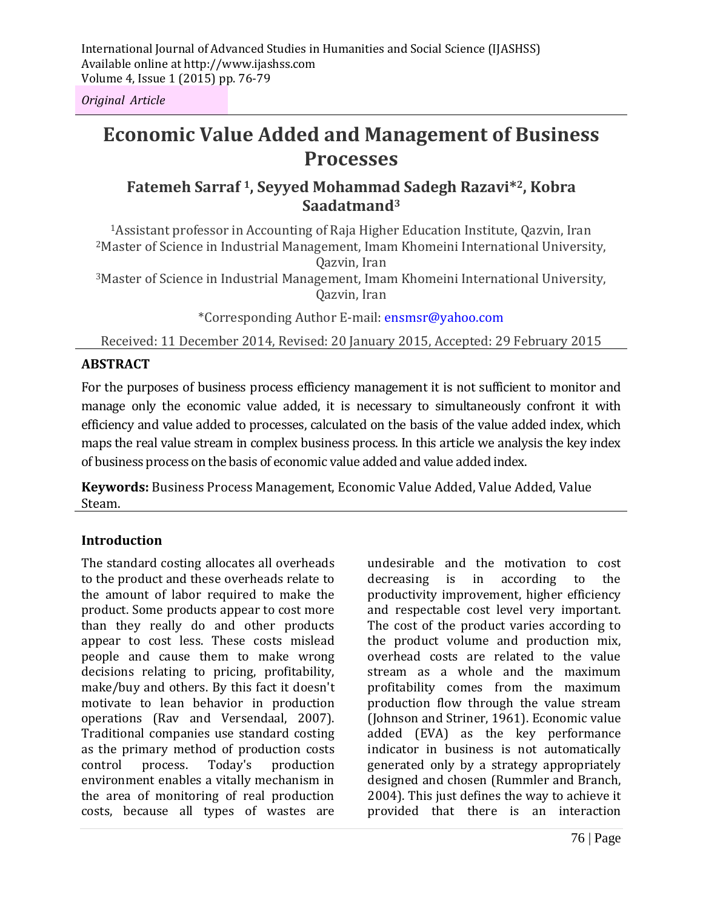International Journal of Advanced Studies in Humanities and Social Science (IJASHSS) Available online at http://www.ijashss.com Volume 4, Issue 1 (2015) pp. 76-79

*Original Article*

# **Economic Value Added and Management of Business Processes**

# **Fatemeh Sarraf 1, Seyyed Mohammad Sadegh Razavi\*2, Kobra Saadatmand<sup>3</sup>**

<sup>1</sup>Assistant professor in Accounting of Raja Higher Education Institute, Qazvin, Iran <sup>2</sup>Master of Science in Industrial Management, Imam Khomeini International University, Qazvin, Iran

<sup>3</sup>Master of Science in Industrial Management, Imam Khomeini International University, Qazvin, Iran

\*Corresponding Author E-mail: ensmsr@yahoo.com

Received: 11 December 2014, Revised: 20 January 2015, Accepted: 29 February 2015

#### **ABSTRACT**

For the purposes of business process efficiency management it is not sufficient to monitor and manage only the economic value added, it is necessary to simultaneously confront it with efficiency and value added to processes, calculated on the basis of the value added index, which maps the real value stream in complex business process. In this article we analysis the key index of business process on the basis of economic value added and value added index.

**Keywords:** Business Process Management, Economic Value Added, Value Added, Value Steam.

#### **Introduction**

The standard costing allocates all overheads to the product and these overheads relate to the amount of labor required to make the product. Some products appear to cost more than they really do and other products appear to cost less. These costs mislead people and cause them to make wrong decisions relating to pricing, profitability, make/buy and others. By this fact it doesn't motivate to lean behavior in production operations (Rav and Versendaal, 2007). Traditional companies use standard costing as the primary method of production costs control process. Today's production environment enables a vitally mechanism in the area of monitoring of real production costs, because all types of wastes are undesirable and the motivation to cost decreasing is in according to the productivity improvement, higher efficiency and respectable cost level very important. The cost of the product varies according to the product volume and production mix, overhead costs are related to the value stream as a whole and the maximum profitability comes from the maximum production flow through the value stream (Johnson and Striner, 1961). Economic value added (EVA) as the key performance indicator in business is not automatically generated only by a strategy appropriately designed and chosen (Rummler and Branch, 2004). This just defines the way to achieve it provided that there is an interaction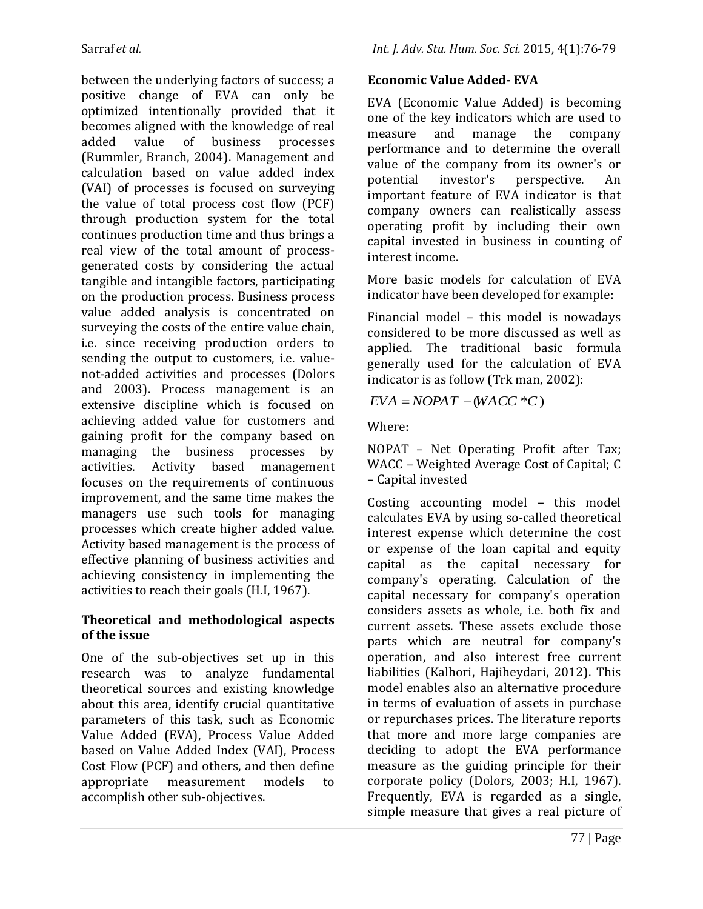between the underlying factors of success; a positive change of EVA can only be optimized intentionally provided that it becomes aligned with the knowledge of real added value of business processes (Rummler, Branch, 2004). Management and calculation based on value added index (VAI) of processes is focused on surveying the value of total process cost flow (PCF) through production system for the total continues production time and thus brings a real view of the total amount of processgenerated costs by considering the actual tangible and intangible factors, participating on the production process. Business process value added analysis is concentrated on surveying the costs of the entire value chain, i.e. since receiving production orders to sending the output to customers, i.e. valuenot-added activities and processes (Dolors and 2003). Process management is an extensive discipline which is focused on achieving added value for customers and gaining profit for the company based on managing the business processes by activities. Activity based management focuses on the requirements of continuous improvement, and the same time makes the managers use such tools for managing processes which create higher added value. Activity based management is the process of effective planning of business activities and achieving consistency in implementing the activities to reach their goals (H.I, 1967).

# **Theoretical and methodological aspects of the issue**

One of the sub-objectives set up in this research was to analyze fundamental theoretical sources and existing knowledge about this area, identify crucial quantitative parameters of this task, such as Economic Value Added (EVA), Process Value Added based on Value Added Index (VAI), Process Cost Flow (PCF) and others, and then define appropriate measurement models to accomplish other sub-objectives.

# **Economic Value Added- EVA**

EVA (Economic Value Added) is becoming one of the key indicators which are used to measure and manage the company performance and to determine the overall value of the company from its owner's or potential investor's perspective. An important feature of EVA indicator is that company owners can realistically assess operating profit by including their own capital invested in business in counting of interest income.

More basic models for calculation of EVA indicator have been developed for example:

Financial model – this model is nowadays considered to be more discussed as well as applied. The traditional basic formula generally used for the calculation of EVA indicator is as follow (Trk man, 2002):

 $EVA = NOPAT - (WACC *C)$ 

Where:

NOPAT – Net Operating Profit after Tax; WACC – Weighted Average Cost of Capital; C – Capital invested

Costing accounting model – this model calculates EVA by using so-called theoretical interest expense which determine the cost or expense of the loan capital and equity capital as the capital necessary for company's operating. Calculation of the capital necessary for company's operation considers assets as whole, i.e. both fix and current assets. These assets exclude those parts which are neutral for company's operation, and also interest free current liabilities (Kalhori, Hajiheydari, 2012). This model enables also an alternative procedure in terms of evaluation of assets in purchase or repurchases prices. The literature reports that more and more large companies are deciding to adopt the EVA performance measure as the guiding principle for their corporate policy (Dolors, 2003; H.I, 1967). Frequently, EVA is regarded as a single, simple measure that gives a real picture of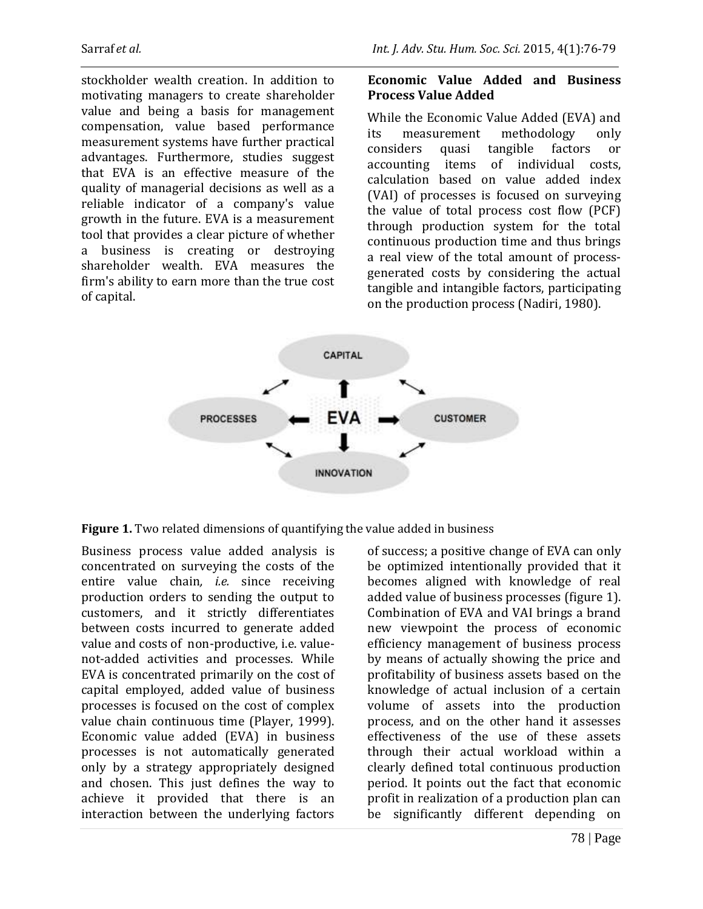stockholder wealth creation. In addition to motivating managers to create shareholder value and being a basis for management compensation, value based performance measurement systems have further practical advantages. Furthermore, studies suggest that EVA is an effective measure of the quality of managerial decisions as well as a reliable indicator of a company's value growth in the future. EVA is a measurement tool that provides a clear picture of whether a business is creating or destroying shareholder wealth. EVA measures the firm's ability to earn more than the true cost of capital.

### **Economic Value Added and Business Process Value Added**

While the Economic Value Added (EVA) and its measurement methodology only considers quasi tangible factors or accounting items of individual costs, calculation based on value added index (VAI) of processes is focused on surveying the value of total process cost flow (PCF) through production system for the total continuous production time and thus brings a real view of the total amount of processgenerated costs by considering the actual tangible and intangible factors, participating on the production process (Nadiri, 1980).



**Figure 1.** Two related dimensions of quantifying the value added in business

Business process value added analysis is concentrated on surveying the costs of the entire value chain*, i.e.* since receiving production orders to sending the output to customers, and it strictly differentiates between costs incurred to generate added value and costs of non-productive, i.e. valuenot-added activities and processes. While EVA is concentrated primarily on the cost of capital employed, added value of business processes is focused on the cost of complex value chain continuous time (Player, 1999). Economic value added (EVA) in business processes is not automatically generated only by a strategy appropriately designed and chosen. This just defines the way to achieve it provided that there is an interaction between the underlying factors

of success; a positive change of EVA can only be optimized intentionally provided that it becomes aligned with knowledge of real added value of business processes (figure 1). Combination of EVA and VAI brings a brand new viewpoint the process of economic efficiency management of business process by means of actually showing the price and profitability of business assets based on the knowledge of actual inclusion of a certain volume of assets into the production process, and on the other hand it assesses effectiveness of the use of these assets through their actual workload within a clearly defined total continuous production period. It points out the fact that economic profit in realization of a production plan can be significantly different depending on